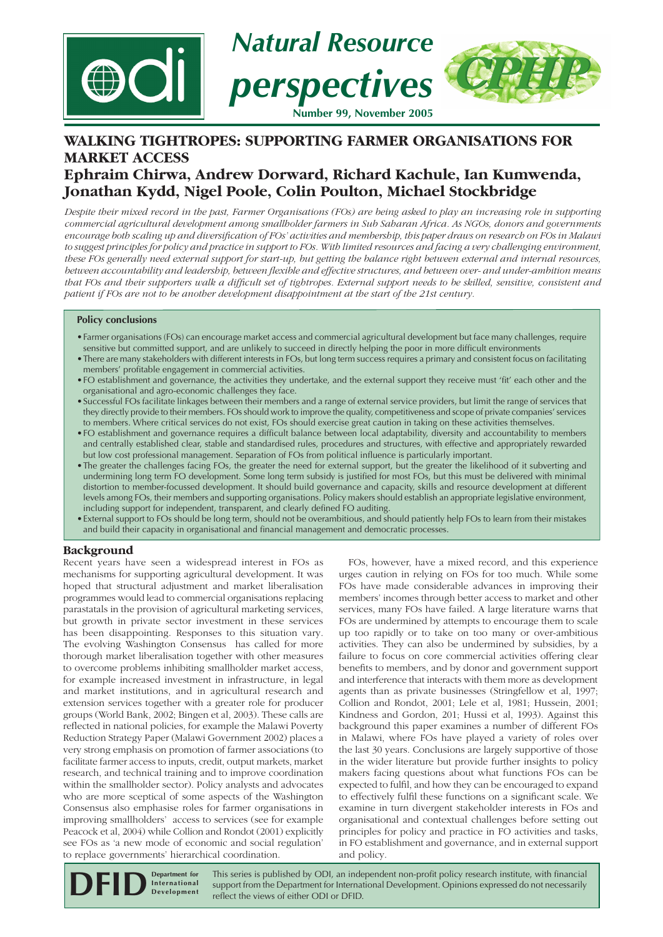

# **WALKING TIGHTROPES: SUPPORTING FARMER ORGANISATIONS FOR MARKET ACCESS Ephraim Chirwa, Andrew Dorward, Richard Kachule, Ian Kumwenda, Jonathan Kydd, Nigel Poole, Colin Poulton, Michael Stockbridge**

*Despite their mixed record in the past, Farmer Organisations (FOs) are being asked to play an increasing role in supporting commercial agricultural development among smallholder farmers in Sub Saharan Africa. As NGOs, donors and governments encourage both scaling up and diversifi cation of FOs' activities and membership, this paper draws on research on FOs in Malawi to suggest principles for policy and practice in support to FOs. With limited resources and facing a very challenging environment, these FOs generally need external support for start-up, but getting the balance right between external and internal resources,*  between accountability and leadership, between flexible and effective structures, and between over- and under-ambition means that FOs and their supporters walk a difficult set of tightropes. External support needs to be skilled, sensitive, consistent and *patient if FOs are not to be another development disappointment at the start of the 21st century.*

## **Policy conclusions**

- Farmer organisations (FOs) can encourage market access and commercial agricultural development but face many challenges, require sensitive but committed support, and are unlikely to succeed in directly helping the poor in more difficult environments
- There are many stakeholders with different interests in FOs, but long term success requires a primary and consistent focus on facilitating members' profitable engagement in commercial activities.
- FO establishment and governance, the activities they undertake, and the external support they receive must 'fit' each other and the organisational and agro-economic challenges they face.
- Successful FOs facilitate linkages between their members and a range of external service providers, but limit the range of services that they directly provide to their members. FOs should work to improve the quality, competitiveness and scope of private companies' services to members. Where critical services do not exist, FOs should exercise great caution in taking on these activities themselves.
- FO establishment and governance requires a difficult balance between local adaptability, diversity and accountability to members and centrally established clear, stable and standardised rules, procedures and structures, with effective and appropriately rewarded but low cost professional management. Separation of FOs from political influence is particularly important.
- The greater the challenges facing FOs, the greater the need for external support, but the greater the likelihood of it subverting and undermining long term FO development. Some long term subsidy is justified for most FOs, but this must be delivered with minimal distortion to member-focussed development. It should build governance and capacity, skills and resource development at different levels among FOs, their members and supporting organisations. Policy makers should establish an appropriate legislative environment, including support for independent, transparent, and clearly defined FO auditing.
- External support to FOs should be long term, should not be overambitious, and should patiently help FOs to learn from their mistakes and build their capacity in organisational and financial management and democratic processes.

## **Background**

Recent years have seen a widespread interest in FOs as mechanisms for supporting agricultural development. It was hoped that structural adjustment and market liberalisation programmes would lead to commercial organisations replacing parastatals in the provision of agricultural marketing services, but growth in private sector investment in these services has been disappointing. Responses to this situation vary. The evolving Washington Consensus has called for more thorough market liberalisation together with other measures to overcome problems inhibiting smallholder market access, for example increased investment in infrastructure, in legal and market institutions, and in agricultural research and extension services together with a greater role for producer groups (World Bank, 2002; Bingen et al, 2003). These calls are reflected in national policies, for example the Malawi Poverty Reduction Strategy Paper (Malawi Government 2002) places a very strong emphasis on promotion of farmer associations (to facilitate farmer access to inputs, credit, output markets, market research, and technical training and to improve coordination within the smallholder sector). Policy analysts and advocates who are more sceptical of some aspects of the Washington Consensus also emphasise roles for farmer organisations in improving smallholders' access to services (see for example Peacock et al, 2004) while Collion and Rondot (2001) explicitly see FOs as 'a new mode of economic and social regulation' to replace governments' hierarchical coordination.

FOs, however, have a mixed record, and this experience urges caution in relying on FOs for too much. While some FOs have made considerable advances in improving their members' incomes through better access to market and other services, many FOs have failed. A large literature warns that FOs are undermined by attempts to encourage them to scale up too rapidly or to take on too many or over-ambitious activities. They can also be undermined by subsidies, by a failure to focus on core commercial activities offering clear benefits to members, and by donor and government support and interference that interacts with them more as development agents than as private businesses (Stringfellow et al, 1997; Collion and Rondot, 2001; Lele et al, 1981; Hussein, 2001; Kindness and Gordon, 201; Hussi et al, 1993). Against this background this paper examines a number of different FOs in Malawi, where FOs have played a variety of roles over the last 30 years. Conclusions are largely supportive of those in the wider literature but provide further insights to policy makers facing questions about what functions FOs can be expected to fulfil, and how they can be encouraged to expand to effectively fulfil these functions on a significant scale. We examine in turn divergent stakeholder interests in FOs and organisational and contextual challenges before setting out principles for policy and practice in FO activities and tasks, in FO establishment and governance, and in external support and policy.

This series is published by ODI, an independent non-profit policy research institute, with financial support from the Department for International Development. Opinions expressed do not necessarily **reflect** the views of either ODI or DFID. **Department for International Development**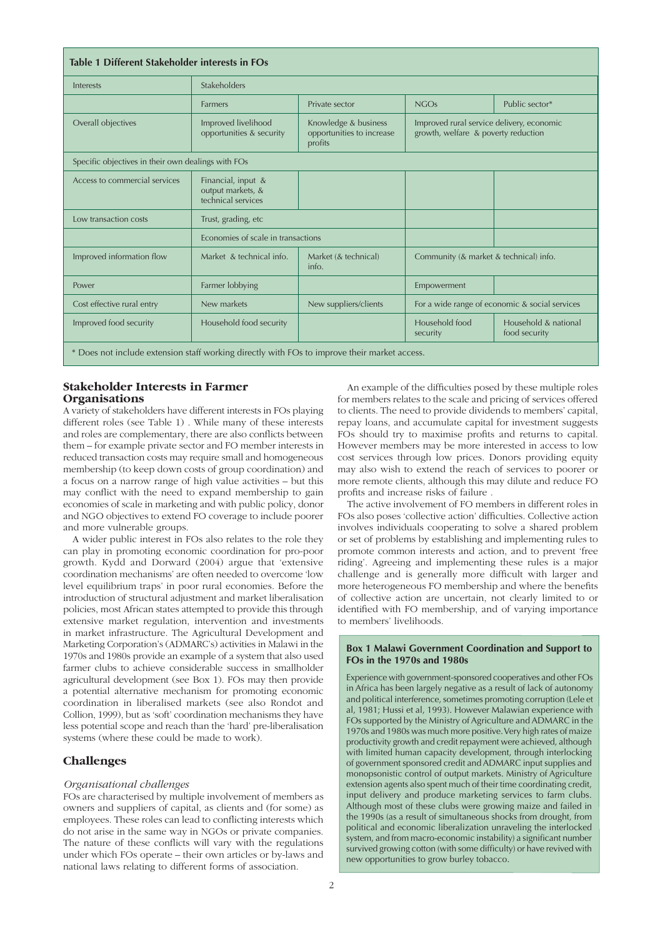| Table 1 Different Stakeholder interests in FOs                                               |                                                               |                                                              |                                                                                  |                                       |
|----------------------------------------------------------------------------------------------|---------------------------------------------------------------|--------------------------------------------------------------|----------------------------------------------------------------------------------|---------------------------------------|
| Interests                                                                                    | Stakeholders                                                  |                                                              |                                                                                  |                                       |
|                                                                                              | <b>Farmers</b>                                                | Private sector                                               | NGOs                                                                             | Public sector*                        |
| Overall objectives                                                                           | Improved livelihood<br>opportunities & security               | Knowledge & business<br>opportunities to increase<br>profits | Improved rural service delivery, economic<br>growth, welfare & poverty reduction |                                       |
| Specific objectives in their own dealings with FOs                                           |                                                               |                                                              |                                                                                  |                                       |
| Access to commercial services                                                                | Financial, input &<br>output markets, &<br>technical services |                                                              |                                                                                  |                                       |
| Low transaction costs                                                                        | Trust, grading, etc                                           |                                                              |                                                                                  |                                       |
|                                                                                              | Economies of scale in transactions                            |                                                              |                                                                                  |                                       |
| Improved information flow                                                                    | Market & technical info.                                      | Market (& technical)<br>info.                                | Community (& market & technical) info.                                           |                                       |
| Power                                                                                        | Farmer lobbying                                               |                                                              | Empowerment                                                                      |                                       |
| Cost effective rural entry                                                                   | New markets                                                   | New suppliers/clients                                        | For a wide range of economic & social services                                   |                                       |
| Improved food security                                                                       | Household food security                                       |                                                              | Household food<br>security                                                       | Household & national<br>food security |
| * Does not include extension staff working directly with FOs to improve their market access. |                                                               |                                                              |                                                                                  |                                       |

### **Stakeholder Interests in Farmer Organisations**

A variety of stakeholders have different interests in FOs playing different roles (see Table 1) . While many of these interests and roles are complementary, there are also conflicts between them – for example private sector and FO member interests in reduced transaction costs may require small and homogeneous membership (to keep down costs of group coordination) and a focus on a narrow range of high value activities – but this may conflict with the need to expand membership to gain economies of scale in marketing and with public policy, donor and NGO objectives to extend FO coverage to include poorer and more vulnerable groups.

A wider public interest in FOs also relates to the role they can play in promoting economic coordination for pro-poor growth. Kydd and Dorward (2004) argue that 'extensive coordination mechanisms' are often needed to overcome 'low level equilibrium traps' in poor rural economies. Before the introduction of structural adjustment and market liberalisation policies, most African states attempted to provide this through extensive market regulation, intervention and investments in market infrastructure. The Agricultural Development and Marketing Corporation's (ADMARC's) activities in Malawi in the 1970s and 1980s provide an example of a system that also used farmer clubs to achieve considerable success in smallholder agricultural development (see Box 1). FOs may then provide a potential alternative mechanism for promoting economic coordination in liberalised markets (see also Rondot and Collion, 1999), but as 'soft' coordination mechanisms they have less potential scope and reach than the 'hard' pre-liberalisation systems (where these could be made to work).

## **Challenges**

### *Organisational challenges*

FOs are characterised by multiple involvement of members as owners and suppliers of capital, as clients and (for some) as employees. These roles can lead to conflicting interests which do not arise in the same way in NGOs or private companies. The nature of these conflicts will vary with the regulations under which FOs operate – their own articles or by-laws and national laws relating to different forms of association.

An example of the difficulties posed by these multiple roles for members relates to the scale and pricing of services offered to clients. The need to provide dividends to members' capital, repay loans, and accumulate capital for investment suggests FOs should try to maximise profits and returns to capital. However members may be more interested in access to low cost services through low prices. Donors providing equity may also wish to extend the reach of services to poorer or more remote clients, although this may dilute and reduce FO profits and increase risks of failure .

The active involvement of FO members in different roles in FOs also poses 'collective action' difficulties. Collective action involves individuals cooperating to solve a shared problem or set of problems by establishing and implementing rules to promote common interests and action, and to prevent 'free riding'. Agreeing and implementing these rules is a major challenge and is generally more difficult with larger and more heterogeneous FO membership and where the benefits of collective action are uncertain, not clearly limited to or identified with FO membership, and of varying importance to members' livelihoods.

### **Box 1 Malawi Government Coordination and Support to FOs in the 1970s and 1980s**

Experience with government-sponsored cooperatives and other FOs in Africa has been largely negative as a result of lack of autonomy and political interference, sometimes promoting corruption (Lele et al, 1981; Hussi et al, 1993). However Malawian experience with FOs supported by the Ministry of Agriculture and ADMARC in the 1970s and 1980s was much more positive. Very high rates of maize productivity growth and credit repayment were achieved, although with limited human capacity development, through interlocking of government sponsored credit and ADMARC input supplies and monopsonistic control of output markets. Ministry of Agriculture extension agents also spent much of their time coordinating credit, input delivery and produce marketing services to farm clubs. Although most of these clubs were growing maize and failed in the 1990s (as a result of simultaneous shocks from drought, from political and economic liberalization unraveling the interlocked system, and from macro-economic instability) a significant number survived growing cotton (with some difficulty) or have revived with new opportunities to grow burley tobacco.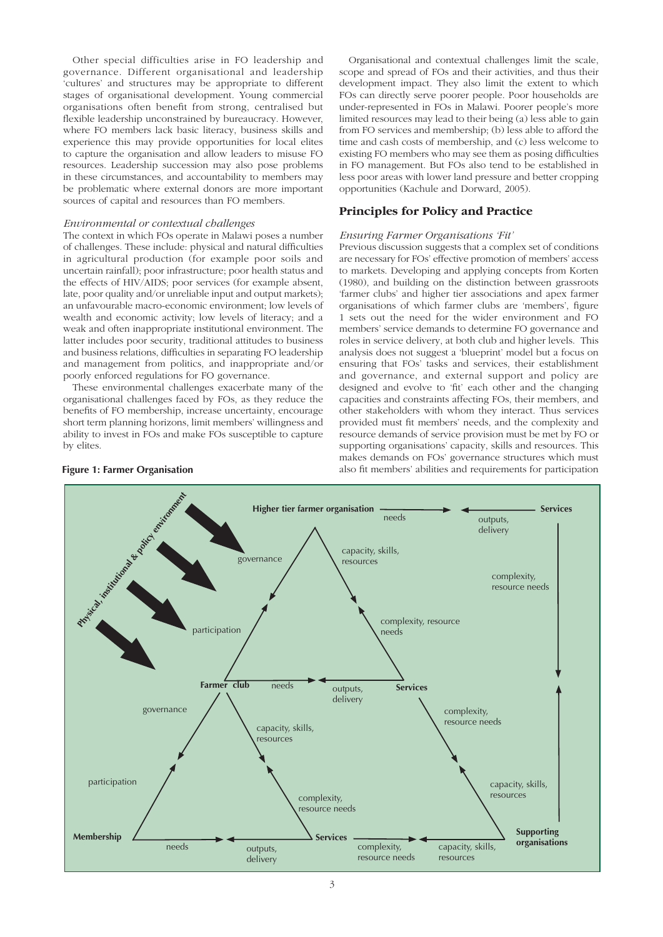Other special difficulties arise in FO leadership and governance. Different organisational and leadership 'cultures' and structures may be appropriate to different stages of organisational development. Young commercial organisations often benefit from strong, centralised but flexible leadership unconstrained by bureaucracy. However, where FO members lack basic literacy, business skills and experience this may provide opportunities for local elites to capture the organisation and allow leaders to misuse FO resources. Leadership succession may also pose problems in these circumstances, and accountability to members may be problematic where external donors are more important sources of capital and resources than FO members.

### *Environmental or contextual challenges*

The context in which FOs operate in Malawi poses a number of challenges. These include: physical and natural difficulties in agricultural production (for example poor soils and uncertain rainfall); poor infrastructure; poor health status and the effects of HIV/AIDS; poor services (for example absent, late, poor quality and/or unreliable input and output markets); an unfavourable macro-economic environment; low levels of wealth and economic activity; low levels of literacy; and a weak and often inappropriate institutional environment. The latter includes poor security, traditional attitudes to business and business relations, difficulties in separating FO leadership and management from politics, and inappropriate and/or poorly enforced regulations for FO governance.

These environmental challenges exacerbate many of the organisational challenges faced by FOs, as they reduce the benefits of FO membership, increase uncertainty, encourage short term planning horizons, limit members' willingness and ability to invest in FOs and make FOs susceptible to capture by elites.

Organisational and contextual challenges limit the scale, scope and spread of FOs and their activities, and thus their development impact. They also limit the extent to which FOs can directly serve poorer people. Poor households are under-represented in FOs in Malawi. Poorer people's more limited resources may lead to their being (a) less able to gain from FO services and membership; (b) less able to afford the time and cash costs of membership, and (c) less welcome to existing FO members who may see them as posing difficulties in FO management. But FOs also tend to be established in less poor areas with lower land pressure and better cropping opportunities (Kachule and Dorward, 2005).

## **Principles for Policy and Practice**

### *Ensuring Farmer Organisations 'Fit'*

Previous discussion suggests that a complex set of conditions are necessary for FOs' effective promotion of members' access to markets. Developing and applying concepts from Korten (1980), and building on the distinction between grassroots 'farmer clubs' and higher tier associations and apex farmer organisations of which farmer clubs are 'members', figure 1 sets out the need for the wider environment and FO members' service demands to determine FO governance and roles in service delivery, at both club and higher levels. This analysis does not suggest a 'blueprint' model but a focus on ensuring that FOs' tasks and services, their establishment and governance, and external support and policy are designed and evolve to 'fit' each other and the changing capacities and constraints affecting FOs, their members, and other stakeholders with whom they interact. Thus services provided must fit members' needs, and the complexity and resource demands of service provision must be met by FO or supporting organisations' capacity, skills and resources. This makes demands on FOs' governance structures which must **Figure 1: Farmer Organisation** also fit members' abilities and requirements for participation

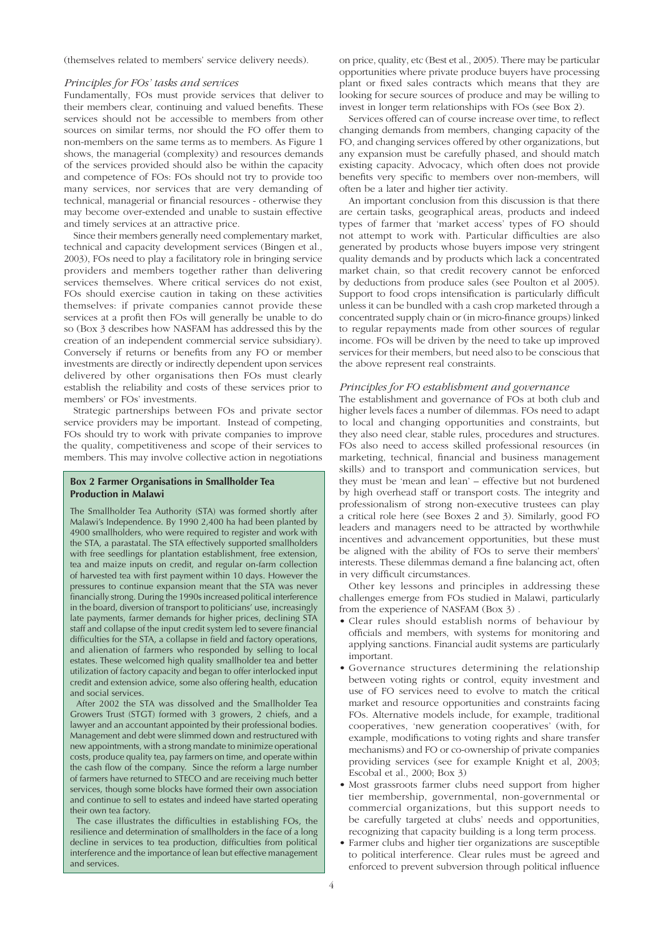(themselves related to members' service delivery needs).

### *Principles for FOs' tasks and services*

Fundamentally, FOs must provide services that deliver to their members clear, continuing and valued benefits. These services should not be accessible to members from other sources on similar terms, nor should the FO offer them to non-members on the same terms as to members. As Figure 1 shows, the managerial (complexity) and resources demands of the services provided should also be within the capacity and competence of FOs: FOs should not try to provide too many services, nor services that are very demanding of technical, managerial or financial resources - otherwise they may become over-extended and unable to sustain effective and timely services at an attractive price.

Since their members generally need complementary market, technical and capacity development services (Bingen et al., 2003), FOs need to play a facilitatory role in bringing service providers and members together rather than delivering services themselves. Where critical services do not exist, FOs should exercise caution in taking on these activities themselves: if private companies cannot provide these services at a profit then FOs will generally be unable to do so (Box 3 describes how NASFAM has addressed this by the creation of an independent commercial service subsidiary). Conversely if returns or benefits from any FO or member investments are directly or indirectly dependent upon services delivered by other organisations then FOs must clearly establish the reliability and costs of these services prior to members' or FOs' investments.

Strategic partnerships between FOs and private sector service providers may be important. Instead of competing, FOs should try to work with private companies to improve the quality, competitiveness and scope of their services to members. This may involve collective action in negotiations

### **Box 2 Farmer Organisations in Smallholder Tea Production in Malawi**

The Smallholder Tea Authority (STA) was formed shortly after Malawi's Independence. By 1990 2,400 ha had been planted by 4900 smallholders, who were required to register and work with the STA, a parastatal. The STA effectively supported smallholders with free seedlings for plantation establishment, free extension, tea and maize inputs on credit, and regular on-farm collection of harvested tea with first payment within 10 days. However the pressures to continue expansion meant that the STA was never financially strong. During the 1990s increased political interference in the board, diversion of transport to politicians' use, increasingly late payments, farmer demands for higher prices, declining STA staff and collapse of the input credit system led to severe financial difficulties for the STA, a collapse in field and factory operations, and alienation of farmers who responded by selling to local estates. These welcomed high quality smallholder tea and better utilization of factory capacity and began to offer interlocked input credit and extension advice, some also offering health, education and social services.

 After 2002 the STA was dissolved and the Smallholder Tea Growers Trust (STGT) formed with 3 growers, 2 chiefs, and a lawyer and an accountant appointed by their professional bodies. Management and debt were slimmed down and restructured with new appointments, with a strong mandate to minimize operational costs, produce quality tea, pay farmers on time, and operate within the cash flow of the company. Since the reform a large number of farmers have returned to STECO and are receiving much better services, though some blocks have formed their own association and continue to sell to estates and indeed have started operating their own tea factory.

 The case illustrates the difficulties in establishing FOs, the resilience and determination of smallholders in the face of a long decline in services to tea production, difficulties from political interference and the importance of lean but effective management and services.

on price, quality, etc (Best et al., 2005). There may be particular opportunities where private produce buyers have processing plant or fixed sales contracts which means that they are looking for secure sources of produce and may be willing to invest in longer term relationships with FOs (see Box 2).

Services offered can of course increase over time, to reflect changing demands from members, changing capacity of the FO, and changing services offered by other organizations, but any expansion must be carefully phased, and should match existing capacity. Advocacy, which often does not provide benefits very specific to members over non-members, will often be a later and higher tier activity.

An important conclusion from this discussion is that there are certain tasks, geographical areas, products and indeed types of farmer that 'market access' types of FO should not attempt to work with. Particular difficulties are also generated by products whose buyers impose very stringent quality demands and by products which lack a concentrated market chain, so that credit recovery cannot be enforced by deductions from produce sales (see Poulton et al 2005). Support to food crops intensification is particularly difficult unless it can be bundled with a cash crop marketed through a concentrated supply chain or (in micro-finance groups) linked to regular repayments made from other sources of regular income. FOs will be driven by the need to take up improved services for their members, but need also to be conscious that the above represent real constraints.

### *Principles for FO establishment and governance*

The establishment and governance of FOs at both club and higher levels faces a number of dilemmas. FOs need to adapt to local and changing opportunities and constraints, but they also need clear, stable rules, procedures and structures. FOs also need to access skilled professional resources (in marketing, technical, financial and business management skills) and to transport and communication services, but they must be 'mean and lean' – effective but not burdened by high overhead staff or transport costs. The integrity and professionalism of strong non-executive trustees can play a critical role here (see Boxes 2 and 3). Similarly, good FO leaders and managers need to be attracted by worthwhile incentives and advancement opportunities, but these must be aligned with the ability of FOs to serve their members' interests. These dilemmas demand a fine balancing act, often in very difficult circumstances.

Other key lessons and principles in addressing these challenges emerge from FOs studied in Malawi, particularly from the experience of NASFAM (Box 3) .

- Clear rules should establish norms of behaviour by officials and members, with systems for monitoring and applying sanctions. Financial audit systems are particularly important.
- Governance structures determining the relationship between voting rights or control, equity investment and use of FO services need to evolve to match the critical market and resource opportunities and constraints facing FOs. Alternative models include, for example, traditional cooperatives, 'new generation cooperatives' (with, for example, modifications to voting rights and share transfer mechanisms) and FO or co-ownership of private companies providing services (see for example Knight et al, 2003; Escobal et al., 2000; Box 3)
- Most grassroots farmer clubs need support from higher tier membership, governmental, non-governmental or commercial organizations, but this support needs to be carefully targeted at clubs' needs and opportunities, recognizing that capacity building is a long term process.
- Farmer clubs and higher tier organizations are susceptible to political interference. Clear rules must be agreed and enforced to prevent subversion through political influence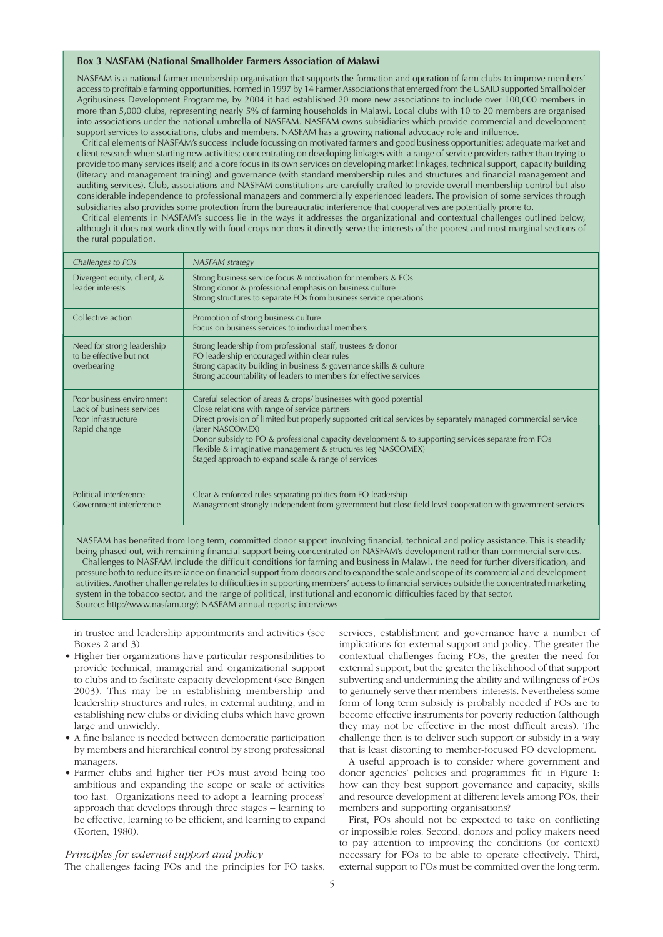### **Box 3 NASFAM (National Smallholder Farmers Association of Malawi**

NASFAM is a national farmer membership organisation that supports the formation and operation of farm clubs to improve members' access to profitable farming opportunities. Formed in 1997 by 14 Farmer Associations that emerged from the USAID supported Smallholder Agribusiness Development Programme, by 2004 it had established 20 more new associations to include over 100,000 members in more than 5,000 clubs, representing nearly 5% of farming households in Malawi. Local clubs with 10 to 20 members are organised into associations under the national umbrella of NASFAM. NASFAM owns subsidiaries which provide commercial and development support services to associations, clubs and members. NASFAM has a growing national advocacy role and influence.

 Critical elements of NASFAM's success include focussing on motivated farmers and good business opportunities; adequate market and client research when starting new activities; concentrating on developing linkages with a range of service providers rather than trying to provide too many services itself; and a core focus in its own services on developing market linkages, technical support, capacity building (literacy and management training) and governance (with standard membership rules and structures and financial management and auditing services). Club, associations and NASFAM constitutions are carefully crafted to provide overall membership control but also considerable independence to professional managers and commercially experienced leaders. The provision of some services through subsidiaries also provides some protection from the bureaucratic interference that cooperatives are potentially prone to.

 Critical elements in NASFAM's success lie in the ways it addresses the organizational and contextual challenges outlined below, although it does not work directly with food crops nor does it directly serve the interests of the poorest and most marginal sections of the rural population.

| Challenges to FOs                                                                             | <b>NASFAM</b> strategy                                                                                                                                                                                                                                                                                                                                                                                                                                                                 |
|-----------------------------------------------------------------------------------------------|----------------------------------------------------------------------------------------------------------------------------------------------------------------------------------------------------------------------------------------------------------------------------------------------------------------------------------------------------------------------------------------------------------------------------------------------------------------------------------------|
| Divergent equity, client, &<br>leader interests                                               | Strong business service focus & motivation for members & FOs<br>Strong donor & professional emphasis on business culture<br>Strong structures to separate FOs from business service operations                                                                                                                                                                                                                                                                                         |
| Collective action                                                                             | Promotion of strong business culture<br>Focus on business services to individual members                                                                                                                                                                                                                                                                                                                                                                                               |
| Need for strong leadership<br>to be effective but not<br>overbearing                          | Strong leadership from professional staff, trustees & donor<br>FO leadership encouraged within clear rules<br>Strong capacity building in business & governance skills & culture<br>Strong accountability of leaders to members for effective services                                                                                                                                                                                                                                 |
| Poor business environment<br>Lack of business services<br>Poor infrastructure<br>Rapid change | Careful selection of areas & crops/ businesses with good potential<br>Close relations with range of service partners<br>Direct provision of limited but properly supported critical services by separately managed commercial service<br>(later NASCOMEX)<br>Donor subsidy to FO & professional capacity development & to supporting services separate from FOs<br>Flexible & imaginative management & structures (eg NASCOMEX)<br>Staged approach to expand scale & range of services |
| Political interference<br>Government interference                                             | Clear & enforced rules separating politics from FO leadership<br>Management strongly independent from government but close field level cooperation with government services                                                                                                                                                                                                                                                                                                            |

NASFAM has benefited from long term, committed donor support involving financial, technical and policy assistance. This is steadily being phased out, with remaining financial support being concentrated on NASFAM's development rather than commercial services. Challenges to NASFAM include the difficult conditions for farming and business in Malawi, the need for further diversification, and pressure both to reduce its reliance on financial support from donors and to expand the scale and scope of its commercial and development activities. Another challenge relates to difficulties in supporting members' access to financial services outside the concentrated marketing system in the tobacco sector, and the range of political, institutional and economic difficulties faced by that sector. Source: http://www.nasfam.org/; NASFAM annual reports; interviews

in trustee and leadership appointments and activities (see Boxes 2 and 3).

- Higher tier organizations have particular responsibilities to provide technical, managerial and organizational support to clubs and to facilitate capacity development (see Bingen 2003). This may be in establishing membership and leadership structures and rules, in external auditing, and in establishing new clubs or dividing clubs which have grown large and unwieldy.
- A fine balance is needed between democratic participation by members and hierarchical control by strong professional managers.
- Farmer clubs and higher tier FOs must avoid being too ambitious and expanding the scope or scale of activities too fast. Organizations need to adopt a 'learning process' approach that develops through three stages – learning to be effective, learning to be efficient, and learning to expand (Korten, 1980).

### *Principles for external support and policy*

The challenges facing FOs and the principles for FO tasks,

services, establishment and governance have a number of implications for external support and policy. The greater the contextual challenges facing FOs, the greater the need for external support, but the greater the likelihood of that support subverting and undermining the ability and willingness of FOs to genuinely serve their members' interests. Nevertheless some form of long term subsidy is probably needed if FOs are to become effective instruments for poverty reduction (although they may not be effective in the most difficult areas). The challenge then is to deliver such support or subsidy in a way that is least distorting to member-focused FO development.

A useful approach is to consider where government and donor agencies' policies and programmes 'fit' in Figure 1: how can they best support governance and capacity, skills and resource development at different levels among FOs, their members and supporting organisations?

First, FOs should not be expected to take on conflicting or impossible roles. Second, donors and policy makers need to pay attention to improving the conditions (or context) necessary for FOs to be able to operate effectively. Third, external support to FOs must be committed over the long term.